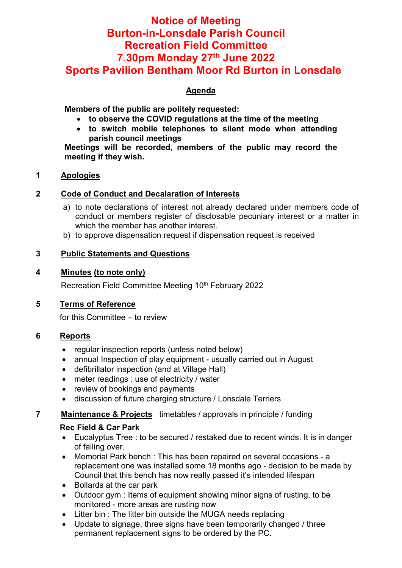# Notice of Meeting Burton-in-Lonsdale Parish Council Recreation Field Committee 7.30pm Monday 27th June 2022 Sports Pavilion Bentham Moor Rd Burton in Lonsdale

# Agenda

Members of the public are politely requested:

- to observe the COVID regulations at the time of the meeting
- to switch mobile telephones to silent mode when attending parish council meetings

Meetings will be recorded, members of the public may record the meeting if they wish.

## 1 Apologies

# 2 Code of Conduct and Decalaration of Interests

- a) to note declarations of interest not already declared under members code of conduct or members register of disclosable pecuniary interest or a matter in which the member has another interest.
- b) to approve dispensation request if dispensation request is received

# 3 Public Statements and Questions

#### 4 Minutes (to note only)

Recreation Field Committee Meeting 10<sup>th</sup> February 2022

# 5 Terms of Reference

for this Committee – to review

# 6 Reports

- regular inspection reports (unless noted below)
- annual Inspection of play equipment usually carried out in August
- defibrillator inspection (and at Village Hall)
- meter readings : use of electricity / water
- review of bookings and payments
- discussion of future charging structure / Lonsdale Terriers

# **7** Maintenance & Projects timetables / approvals in principle / funding

#### Rec Field & Car Park

- Eucalyptus Tree : to be secured / restaked due to recent winds. It is in danger of falling over.
- Memorial Park bench : This has been repaired on several occasions a replacement one was installed some 18 months ago - decision to be made by Council that this bench has now really passed it's intended lifespan
- Bollards at the car park
- Outdoor gym : Items of equipment showing minor signs of rusting, to be monitored - more areas are rusting now
- Litter bin : The litter bin outside the MUGA needs replacing
- Update to signage, three signs have been temporarily changed / three permanent replacement signs to be ordered by the PC.